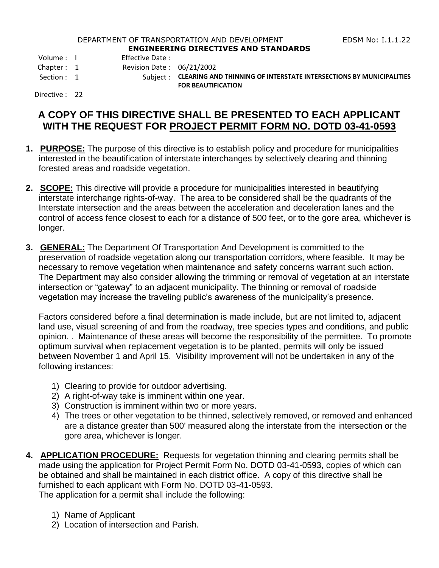## DEPARTMENT OF TRANSPORTATION AND DEVELOPMENT FOR THE RESS RIGHT RESERVED TO THE LOCAL THREE RESPONSIVING. **ENGINEERING DIRECTIVES AND STANDARDS**

Volume : I Effective Date :

Chapter : 1 Revision Date : 06/21/2002

- 
- Section : 1 Subject : **CLEARING AND THINNING OF INTERSTATE INTERSECTIONS BY MUNICIPALITIES FOR BEAUTIFICATION**

Directive : 22

## **A COPY OF THIS DIRECTIVE SHALL BE PRESENTED TO EACH APPLICANT WITH THE REQUEST FOR PROJECT PERMIT FORM NO. DOTD 03-41-0593**

- **1. PURPOSE:** The purpose of this directive is to establish policy and procedure for municipalities interested in the beautification of interstate interchanges by selectively clearing and thinning forested areas and roadside vegetation.
- **2. SCOPE:** This directive will provide a procedure for municipalities interested in beautifying interstate interchange rights-of-way. The area to be considered shall be the quadrants of the Interstate intersection and the areas between the acceleration and deceleration lanes and the control of access fence closest to each for a distance of 500 feet, or to the gore area, whichever is longer.
- **3. GENERAL:** The Department Of Transportation And Development is committed to the preservation of roadside vegetation along our transportation corridors, where feasible. It may be necessary to remove vegetation when maintenance and safety concerns warrant such action. The Department may also consider allowing the trimming or removal of vegetation at an interstate intersection or "gateway" to an adjacent municipality. The thinning or removal of roadside vegetation may increase the traveling public's awareness of the municipality's presence.

Factors considered before a final determination is made include, but are not limited to, adjacent land use, visual screening of and from the roadway, tree species types and conditions, and public opinion. . Maintenance of these areas will become the responsibility of the permittee. To promote optimum survival when replacement vegetation is to be planted, permits will only be issued between November 1 and April 15. Visibility improvement will not be undertaken in any of the following instances:

- 1) Clearing to provide for outdoor advertising.
- 2) A right-of-way take is imminent within one year.
- 3) Construction is imminent within two or more years.
- 4) The trees or other vegetation to be thinned, selectively removed, or removed and enhanced are a distance greater than 500' measured along the interstate from the intersection or the gore area, whichever is longer.
- **4. APPLICATION PROCEDURE:** Requests for vegetation thinning and clearing permits shall be made using the application for Project Permit Form No. DOTD 03-41-0593, copies of which can be obtained and shall be maintained in each district office. A copy of this directive shall be furnished to each applicant with Form No. DOTD 03-41-0593. The application for a permit shall include the following:
	- - 1) Name of Applicant
		- 2) Location of intersection and Parish.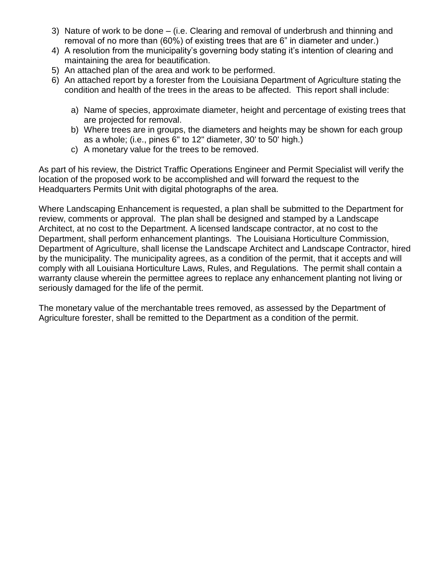- 3) Nature of work to be done (i.e. Clearing and removal of underbrush and thinning and removal of no more than (60%) of existing trees that are 6" in diameter and under.)
- 4) A resolution from the municipality's governing body stating it's intention of clearing and maintaining the area for beautification.
- 5) An attached plan of the area and work to be performed.
- 6) An attached report by a forester from the Louisiana Department of Agriculture stating the condition and health of the trees in the areas to be affected. This report shall include:
	- a) Name of species, approximate diameter, height and percentage of existing trees that are projected for removal.
	- b) Where trees are in groups, the diameters and heights may be shown for each group as a whole; (i.e., pines 6" to 12" diameter, 30' to 50' high.)
	- c) A monetary value for the trees to be removed.

As part of his review, the District Traffic Operations Engineer and Permit Specialist will verify the location of the proposed work to be accomplished and will forward the request to the Headquarters Permits Unit with digital photographs of the area.

Where Landscaping Enhancement is requested, a plan shall be submitted to the Department for review, comments or approval. The plan shall be designed and stamped by a Landscape Architect, at no cost to the Department. A licensed landscape contractor, at no cost to the Department, shall perform enhancement plantings. The Louisiana Horticulture Commission, Department of Agriculture, shall license the Landscape Architect and Landscape Contractor, hired by the municipality. The municipality agrees, as a condition of the permit, that it accepts and will comply with all Louisiana Horticulture Laws, Rules, and Regulations. The permit shall contain a warranty clause wherein the permittee agrees to replace any enhancement planting not living or seriously damaged for the life of the permit.

The monetary value of the merchantable trees removed, as assessed by the Department of Agriculture forester, shall be remitted to the Department as a condition of the permit.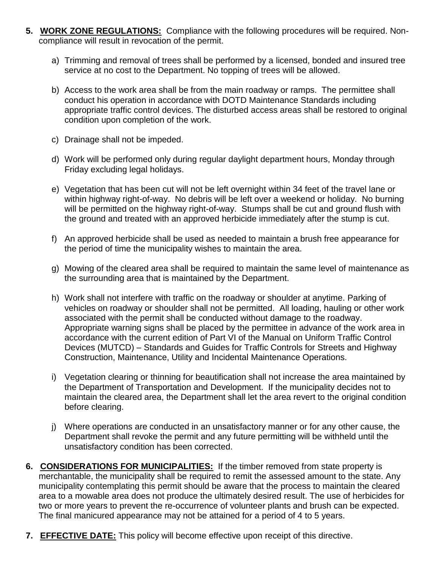- **5. WORK ZONE REGULATIONS:** Compliance with the following procedures will be required. Noncompliance will result in revocation of the permit.
	- a) Trimming and removal of trees shall be performed by a licensed, bonded and insured tree service at no cost to the Department. No topping of trees will be allowed.
	- b) Access to the work area shall be from the main roadway or ramps. The permittee shall conduct his operation in accordance with DOTD Maintenance Standards including appropriate traffic control devices. The disturbed access areas shall be restored to original condition upon completion of the work.
	- c) Drainage shall not be impeded.
	- d) Work will be performed only during regular daylight department hours, Monday through Friday excluding legal holidays.
	- e) Vegetation that has been cut will not be left overnight within 34 feet of the travel lane or within highway right-of-way. No debris will be left over a weekend or holiday. No burning will be permitted on the highway right-of-way. Stumps shall be cut and ground flush with the ground and treated with an approved herbicide immediately after the stump is cut.
	- f) An approved herbicide shall be used as needed to maintain a brush free appearance for the period of time the municipality wishes to maintain the area.
	- g) Mowing of the cleared area shall be required to maintain the same level of maintenance as the surrounding area that is maintained by the Department.
	- h) Work shall not interfere with traffic on the roadway or shoulder at anytime. Parking of vehicles on roadway or shoulder shall not be permitted. All loading, hauling or other work associated with the permit shall be conducted without damage to the roadway. Appropriate warning signs shall be placed by the permittee in advance of the work area in accordance with the current edition of Part VI of the Manual on Uniform Traffic Control Devices (MUTCD) – Standards and Guides for Traffic Controls for Streets and Highway Construction, Maintenance, Utility and Incidental Maintenance Operations.
	- i) Vegetation clearing or thinning for beautification shall not increase the area maintained by the Department of Transportation and Development. If the municipality decides not to maintain the cleared area, the Department shall let the area revert to the original condition before clearing.
	- j) Where operations are conducted in an unsatisfactory manner or for any other cause, the Department shall revoke the permit and any future permitting will be withheld until the unsatisfactory condition has been corrected.
- **6. CONSIDERATIONS FOR MUNICIPALITIES:** If the timber removed from state property is merchantable, the municipality shall be required to remit the assessed amount to the state. Any municipality contemplating this permit should be aware that the process to maintain the cleared area to a mowable area does not produce the ultimately desired result. The use of herbicides for two or more years to prevent the re-occurrence of volunteer plants and brush can be expected. The final manicured appearance may not be attained for a period of 4 to 5 years.
- **7. EFFECTIVE DATE:** This policy will become effective upon receipt of this directive.